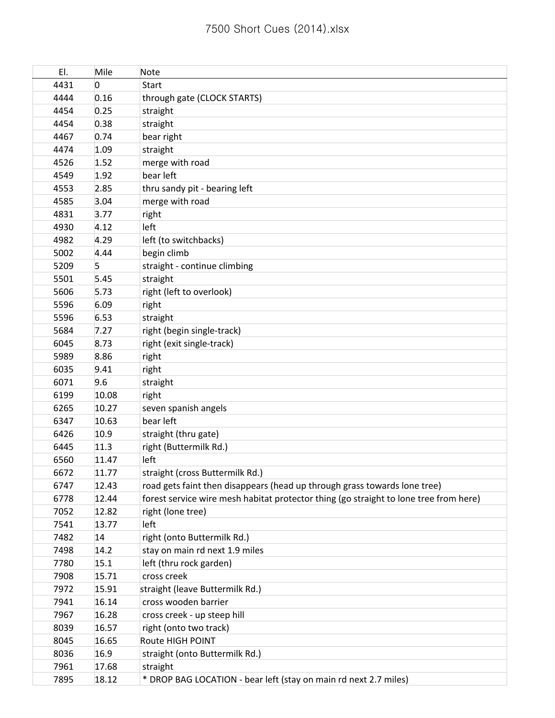| EI.  | Mile     | Note                                                                                  |
|------|----------|---------------------------------------------------------------------------------------|
| 4431 | $\Omega$ | <b>Start</b>                                                                          |
| 4444 | 0.16     | through gate (CLOCK STARTS)                                                           |
| 4454 | 0.25     | straight                                                                              |
| 4454 | 0.38     | straight                                                                              |
| 4467 | 0.74     | bear right                                                                            |
| 4474 | 1.09     | straight                                                                              |
| 4526 | 1.52     | merge with road                                                                       |
| 4549 | 1.92     | bear left                                                                             |
| 4553 | 2.85     | thru sandy pit - bearing left                                                         |
| 4585 | 3.04     | merge with road                                                                       |
| 4831 | 3.77     | right                                                                                 |
| 4930 | 4.12     | left                                                                                  |
| 4982 | 4.29     | left (to switchbacks)                                                                 |
| 5002 | 4.44     | begin climb                                                                           |
| 5209 | 5        | straight - continue climbing                                                          |
| 5501 | 5.45     | straight                                                                              |
| 5606 | 5.73     | right (left to overlook)                                                              |
| 5596 | 6.09     | right                                                                                 |
| 5596 | 6.53     | straight                                                                              |
| 5684 | 7.27     | right (begin single-track)                                                            |
| 6045 | 8.73     | right (exit single-track)                                                             |
| 5989 | 8.86     | right                                                                                 |
| 6035 | 9.41     | right                                                                                 |
| 6071 | 9.6      | straight                                                                              |
| 6199 | 10.08    | right                                                                                 |
| 6265 | 10.27    | seven spanish angels                                                                  |
| 6347 | 10.63    | bear left                                                                             |
| 6426 | 10.9     | straight (thru gate)                                                                  |
| 6445 | 11.3     | right (Buttermilk Rd.)                                                                |
| 6560 | 11.47    | left                                                                                  |
| 6672 | 11.77    | straight (cross Buttermilk Rd.)                                                       |
| 6747 | 12.43    | road gets faint then disappears (head up through grass towards lone tree)             |
| 6778 | 12.44    | forest service wire mesh habitat protector thing (go straight to lone tree from here) |
| 7052 | 12.82    | right (lone tree)                                                                     |
| 7541 | 13.77    | left                                                                                  |
| 7482 | 14       | right (onto Buttermilk Rd.)                                                           |
| 7498 | 14.2     | stay on main rd next 1.9 miles                                                        |
| 7780 | 15.1     | left (thru rock garden)                                                               |
| 7908 | 15.71    | cross creek                                                                           |
| 7972 | 15.91    | straight (leave Buttermilk Rd.)                                                       |
| 7941 | 16.14    | cross wooden barrier                                                                  |
| 7967 | 16.28    | cross creek - up steep hill                                                           |
| 8039 | 16.57    | right (onto two track)                                                                |
| 8045 | 16.65    | Route HIGH POINT                                                                      |
| 8036 | 16.9     | straight (onto Buttermilk Rd.)                                                        |
| 7961 | 17.68    | straight                                                                              |
| 7895 | 18.12    | * DROP BAG LOCATION - bear left (stay on main rd next 2.7 miles)                      |